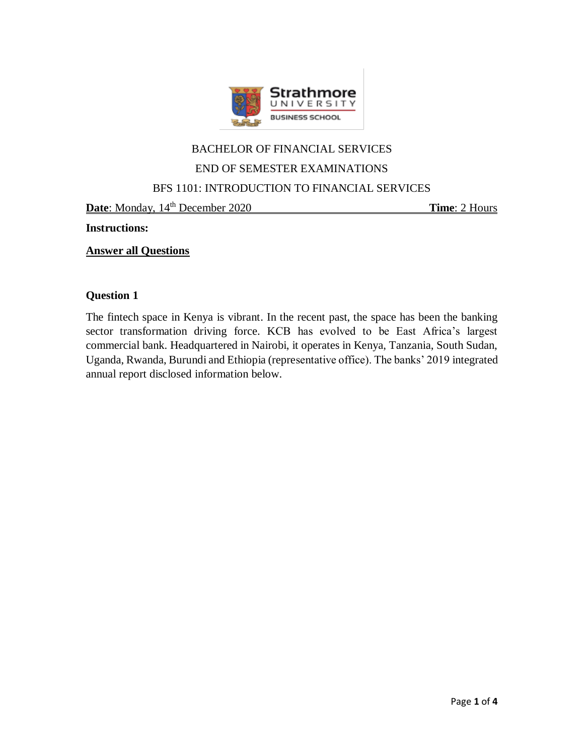

# BACHELOR OF FINANCIAL SERVICES

#### END OF SEMESTER EXAMINATIONS

#### BFS 1101: INTRODUCTION TO FINANCIAL SERVICES

**Date**: Monday, 14<sup>th</sup> December 2020 **Time**: 2 Hours

**Instructions:**

**Answer all Questions**

#### **Question 1**

The fintech space in Kenya is vibrant. In the recent past, the space has been the banking sector transformation driving force. KCB has evolved to be East Africa's largest commercial bank. Headquartered in Nairobi, it operates in Kenya, Tanzania, South Sudan, Uganda, Rwanda, Burundi and Ethiopia (representative office). The banks' 2019 integrated annual report disclosed information below.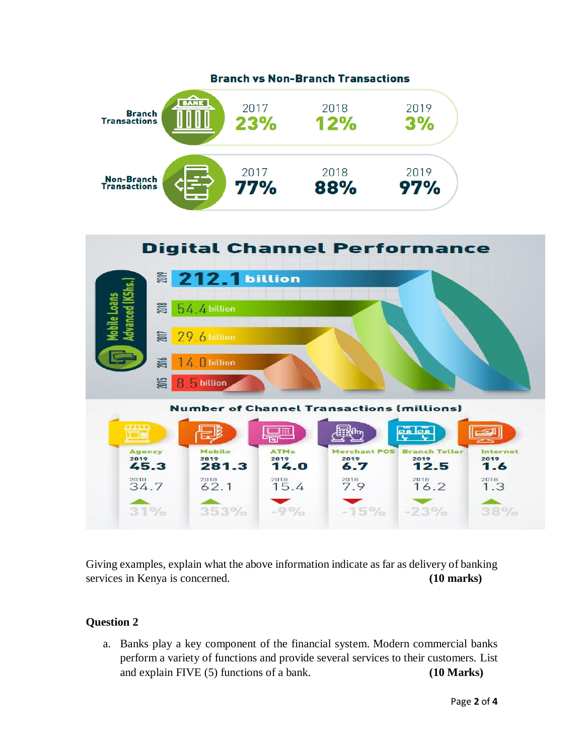



Giving examples, explain what the above information indicate as far as delivery of banking services in Kenya is concerned. **(10 marks)** 

### **Question 2**

a. Banks play a key component of the financial system. Modern commercial banks perform a variety of functions and provide several services to their customers. List and explain FIVE (5) functions of a bank. **(10 Marks)**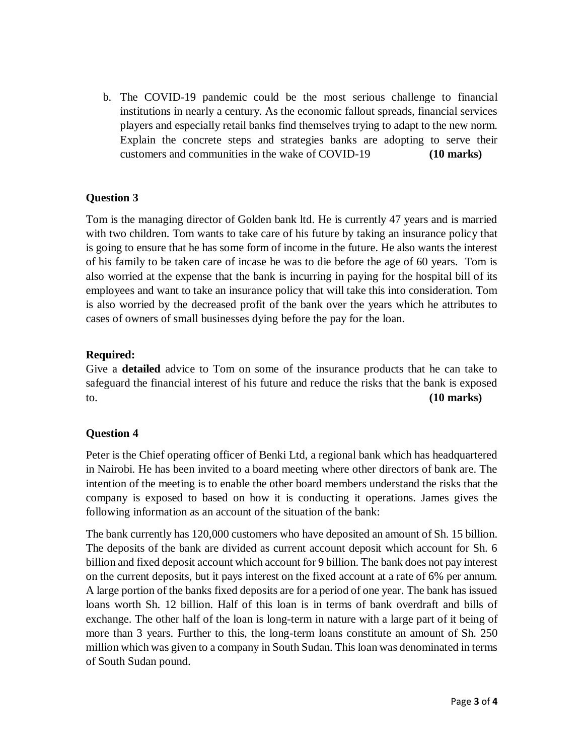b. The COVID-19 pandemic could be the most serious challenge to financial institutions in nearly a century. As the economic fallout spreads, financial services players and especially retail banks find themselves trying to adapt to the new norm. Explain the concrete steps and strategies banks are adopting to serve their customers and communities in the wake of COVID-19 **(10 marks)**

### **Question 3**

Tom is the managing director of Golden bank ltd. He is currently 47 years and is married with two children. Tom wants to take care of his future by taking an insurance policy that is going to ensure that he has some form of income in the future. He also wants the interest of his family to be taken care of incase he was to die before the age of 60 years. Tom is also worried at the expense that the bank is incurring in paying for the hospital bill of its employees and want to take an insurance policy that will take this into consideration. Tom is also worried by the decreased profit of the bank over the years which he attributes to cases of owners of small businesses dying before the pay for the loan.

#### **Required:**

Give a **detailed** advice to Tom on some of the insurance products that he can take to safeguard the financial interest of his future and reduce the risks that the bank is exposed to. **(10 marks)**

### **Question 4**

Peter is the Chief operating officer of Benki Ltd, a regional bank which has headquartered in Nairobi. He has been invited to a board meeting where other directors of bank are. The intention of the meeting is to enable the other board members understand the risks that the company is exposed to based on how it is conducting it operations. James gives the following information as an account of the situation of the bank:

The bank currently has 120,000 customers who have deposited an amount of Sh. 15 billion. The deposits of the bank are divided as current account deposit which account for Sh. 6 billion and fixed deposit account which account for 9 billion. The bank does not pay interest on the current deposits, but it pays interest on the fixed account at a rate of 6% per annum. A large portion of the banks fixed deposits are for a period of one year. The bank has issued loans worth Sh. 12 billion. Half of this loan is in terms of bank overdraft and bills of exchange. The other half of the loan is long-term in nature with a large part of it being of more than 3 years. Further to this, the long-term loans constitute an amount of Sh. 250 million which was given to a company in South Sudan. This loan was denominated in terms of South Sudan pound.